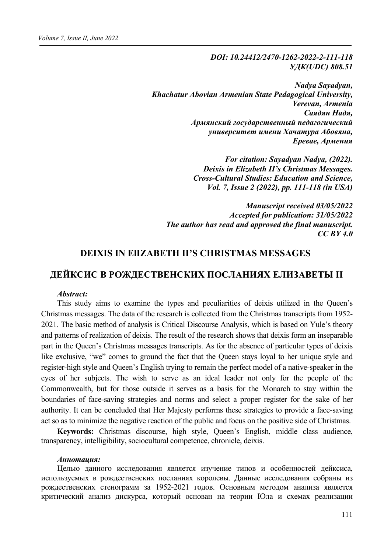*DOI: 10.24412/2470-1262-2022-2-111-118 УДК(UDC) 808.51*

*Nadya Sayadyan, Khachatur Abovian Armenian State Pedagogical University, Yerevan, Armenia Саядян Надя, Армянский государственный педагогический университет имени Хачатура Абовяна, Еревае, Армения*

> *For citation: Sayadyan Nadya, (2022). Deixis in Elizabeth II's Christmas Messages. Cross-Cultural Studies: Education and Science, Vol. 7, Issue 2 (2022), pp. 111-118 (in USA)*

*Manuscript received 03/05/2022 Accepted for publication: 31/05/2022 The author has read and approved the final manuscript. CC BY 4.0*

# **DEIXIS IN ElIZABETH II'S CHRISTMAS MESSAGES**

# **ДЕЙКСИС В РОЖДЕСТВЕНСКИХ ПОСЛАНИЯХ ЕЛИЗАВЕТЫ II**

#### *Abstract:*

This study aims to examine the types and peculiarities of deixis utilized in the Queen's Christmas messages. The data of the research is collected from the Christmas transcripts from 1952- 2021. The basic method of analysis is Critical Discourse Analysis, which is based on Yule's theory and patterns of realization of deixis. The result of the research shows that deixis form an inseparable part in the Queen's Christmas messages transcripts. As for the absence of particular types of deixis like exclusive, "we" comes to ground the fact that the Queen stays loyal to her unique style and register-high style and Queen's English trying to remain the perfect model of a native-speaker in the eyes of her subjects. The wish to serve as an ideal leader not only for the people of the Commonwealth, but for those outside it serves as a basis for the Monarch to stay within the boundaries of face-saving strategies and norms and select a proper register for the sake of her authority. It can be concluded that Her Majesty performs these strategies to provide a face-saving act so as to minimize the negative reaction of the public and focus on the positive side of Christmas.

**Keywords:** Christmas discourse, high style, Queen's English, middle class audience, transparency, intelligibility, sociocultural competence, chronicle, deixis.

#### *Aннотация:*

Целью данного исследования является изучение типов и особенностей дейксиса, используемых в рождественских посланиях королевы. Данные исследования собраны из рождественских стенограмм за 1952-2021 годов. Основным методом анализа является критический анализ дискурса, который основан на теории Юла и схемах реализации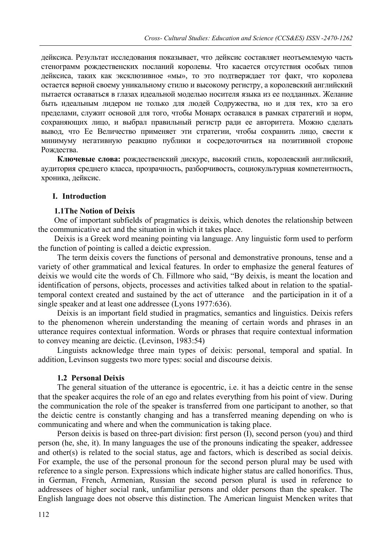дейксиса. Результат исследования показывает, что дейксис составляет неотъемлемую часть стенограмм рождественских посланий королевы. Что касается отсутствия особых типов дейксиса, таких как эксклюзивное «мы», то это подтверждает тот факт, что королева остается верной своему уникальному стилю и высокому регистру, а королевский английский пытается оставаться в глазах идеальной моделью носителя языка из ее подданных. Желание быть идеальным лидером не только для людей Содружества, но и для тех, кто за его пределами, служит основой для того, чтобы Монарх оставался в рамках стратегий и норм, сохраняющих лицо, и выбрал правильный регистр ради ее авторитета. Можно сделать вывод, что Ее Величество применяет эти стратегии, чтобы сохранить лицо, свести к минимуму негативную реакцию публики и сосредоточиться на позитивной стороне Рождества.

**Ключевые слова:** рождественский дискурс, высокий стиль, королевский английский, аудитория среднего класса, прозрачность, разборчивость, социокультурная компетентность, хроника, дейксис.

## **I. Introduction**

## **1.1The Notion of Deixis**

One of important subfields of pragmatics is deixis, which denotes the relationship between the communicative act and the situation in which it takes place.

Deixis is a Greek word meaning pointing via language. Any linguistic form used to perform the function of pointing is called a deictic expression.

The term deixis covers the functions of personal and demonstrative pronouns, tense and a variety of other grammatical and lexical features. In order to emphasize the general features of deixis we would cite the words of Ch. Fillmore who said, "By deixis, is meant the location and identification of persons, objects, processes and activities talked about in relation to the spatialtemporal context created and sustained by the act of utterance and the participation in it of a single speaker and at least one addressee (Lyons 1977:636).

Deixis is an important field studied in pragmatics, semantics and linguistics. Deixis refers to the phenomenon wherein understanding the meaning of certain words and phrases in an utterance requires contextual information. Words or phrases that require contextual information to convey meaning are deictic. (Levinson, 1983:54)

Linguists acknowledge three main types of deixis: personal, temporal and spatial. In addition, Levinson suggests two more types: social and discourse deixis.

## **1.2 Personal Deixis**

The general situation of the utterance is egocentric, i.e. it has a deictic centre in the sense that the speaker acquires the role of an ego and relates everything from his point of view. During the communication the role of the speaker is transferred from one participant to another, so that the deictic centre is constantly changing and has a transferred meaning depending on who is communicating and where and when the communication is taking place.

Person deixis is based on three-part division: first person (I), second person (you) and third person (he, she, it). In many languages the use of the pronouns indicating the speaker, addressee and other(s) is related to the social status, age and factors, which is described as social deixis. For example, the use of the personal pronoun for the second person plural may be used with reference to a single person. Expressions which indicate higher status are called honorifics. Thus, in German, French, Armenian, Russian the second person plural is used in reference to addressees of higher social rank, unfamiliar persons and older persons than the speaker. The English language does not observe this distinction. The American linguist Mencken writes that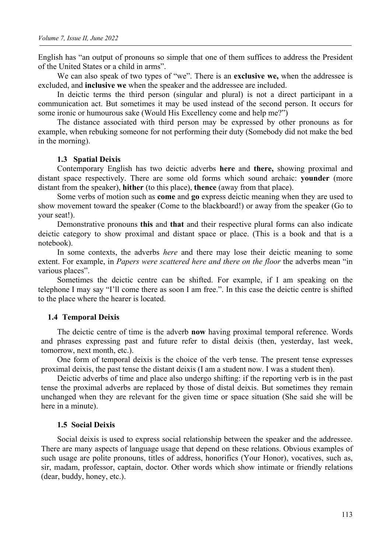English has "an output of pronouns so simple that one of them suffices to address the President of the United States or a child in arms".

We can also speak of two types of "we". There is an **exclusive we,** when the addressee is excluded, and **inclusive we** when the speaker and the addressee are included.

In deictic terms the third person (singular and plural) is not a direct participant in a communication act. But sometimes it may be used instead of the second person. It occurs for some ironic or humourous sake (Would His Excellency come and help me?")

The distance associated with third person may be expressed by other pronouns as for example, when rebuking someone for not performing their duty (Somebody did not make the bed in the morning).

#### **1.3 Spatial Deixis**

Contemporary English has two deictic adverbs **here** and **there,** showing proximal and distant space respectively. There are some old forms which sound archaic: **younder** (more distant from the speaker), **hither** (to this place), **thence** (away from that place).

Some verbs of motion such as **come** and **go** express deictic meaning when they are used to show movement toward the speaker (Come to the blackboard!) or away from the speaker (Go to your seat!).

Demonstrative pronouns **this** and **that** and their respective plural forms can also indicate deictic category to show proximal and distant space or place. (This is a book and that is a notebook).

In some contexts, the adverbs *here* and there may lose their deictic meaning to some extent. For example, in *Papers were scattered here and there on the floor* the adverbs mean "in various places".

Sometimes the deictic centre can be shifted. For example, if I am speaking on the telephone I may say "I'll come there as soon I am free.". In this case the deictic centre is shifted to the place where the hearer is located.

#### **1.4 Temporal Deixis**

The deictic centre of time is the adverb **now** having proximal temporal reference. Words and phrases expressing past and future refer to distal deixis (then, yesterday, last week, tomorrow, next month, etc.).

One form of temporal deixis is the choice of the verb tense. The present tense expresses proximal deixis, the past tense the distant deixis (I am a student now. I was a student then).

Deictic adverbs of time and place also undergo shifting: if the reporting verb is in the past tense the proximal adverbs are replaced by those of distal deixis. But sometimes they remain unchanged when they are relevant for the given time or space situation (She said she will be here in a minute).

#### **1.5 Social Deixis**

Social deixis is used to express social relationship between the speaker and the addressee. There are many aspects of language usage that depend on these relations. Obvious examples of such usage are polite pronouns, titles of address, honorifics (Your Honor), vocatives, such as, sir, madam, professor, captain, doctor. Other words which show intimate or friendly relations (dear, buddy, honey, etc.).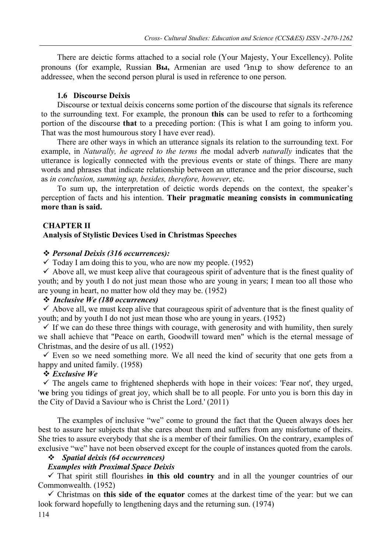There are deictic forms attached to a social role (Your Majesty, Your Excellency). Polite pronouns (for example, Russian **Вы,** Armenian are used Դուք to show deference to an addressee, when the second person plural is used in reference to one person.

## **1.6 Discourse Deixis**

Discourse or textual deixis concerns some portion of the discourse that signals its reference to the surrounding text. For example, the pronoun **this** can be used to refer to a forthcoming portion of the discourse **that** to a preceding portion: (This is what I am going to inform you. That was the most humourous story I have ever read).

There are other ways in which an utterance signals its relation to the surrounding text. For example, in *Naturally, he agreed to the terms t*he modal adverb *naturally* indicates that the utterance is logically connected with the previous events or state of things. There are many words and phrases that indicate relationship between an utterance and the prior discourse, such as *in conclusion, summing up, besides, therefore, however,* etc.

To sum up, the interpretation of deictic words depends on the context, the speaker's perception of facts and his intention. **Their pragmatic meaning consists in communicating more than is said.**

## **CHAPTER II**

## **Analysis of Stylistic Devices Used in Christmas Speeches**

## *Personal Deixis (316 occurrences):*

 $\checkmark$  Today I am doing this to you, who are now my people. (1952)

 $\checkmark$  Above all, we must keep alive that courageous spirit of adventure that is the finest quality of youth; and by youth I do not just mean those who are young in years; I mean too all those who are young in heart, no matter how old they may be. (1952)

## *Inclusive We (180 occurrences)*

 $\checkmark$  Above all, we must keep alive that courageous spirit of adventure that is the finest quality of youth; and by youth I do not just mean those who are young in years. (1952)

 $\checkmark$  If we can do these three things with courage, with generosity and with humility, then surely we shall achieve that "Peace on earth, Goodwill toward men" which is the eternal message of Christmas, and the desire of us all. (1952)

 $\checkmark$  Even so we need something more. We all need the kind of security that one gets from a happy and united family. (1958)

## *Exclusive We*

 $\checkmark$  The angels came to frightened shepherds with hope in their voices: 'Fear not', they urged, '**we** bring you tidings of great joy, which shall be to all people. For unto you is born this day in the City of David a Saviour who is Christ the Lord.' (2011)

The examples of inclusive "we" come to ground the fact that the Queen always does her best to assure her subjects that she cares about them and suffers from any misfortune of theirs. She tries to assure everybody that she is a member of their families. On the contrary, examples of exclusive "we" have not been observed except for the couple of instances quoted from the carols.

## *Spatial deixis (64 occurrences)*

## *Examples with Proximal Space Deixis*

 That spirit still flourishes **in this old country** and in all the younger countries of our Commonwealth. (1952)

 Christmas on **this side of the equator** comes at the darkest time of the year: but we can look forward hopefully to lengthening days and the returning sun. (1974)

114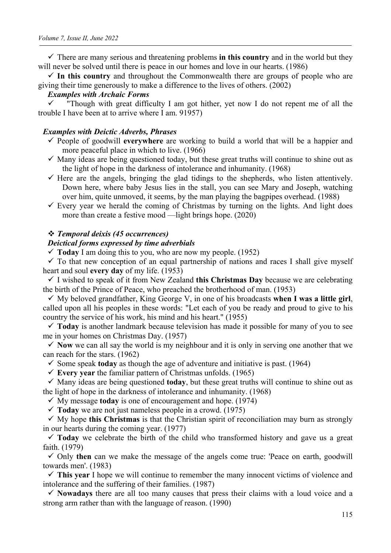$\checkmark$  There are many serious and threatening problems **in this country** and in the world but they will never be solved until there is peace in our homes and love in our hearts. (1986)

 $\checkmark$  In this country and throughout the Commonwealth there are groups of people who are giving their time generously to make a difference to the lives of others. (2002)

## *Examples with Archaic Forms*

 "Though with great difficulty I am got hither, yet now I do not repent me of all the trouble I have been at to arrive where I am. 91957)

#### *Examples with Deictic Adverbs, Phrases*

- People of goodwill **everywhere** are working to build a world that will be a happier and more peaceful place in which to live. (1966)
- $\checkmark$  Many ideas are being questioned today, but these great truths will continue to shine out as the light of hope in the darkness of intolerance and inhumanity. (1968)
- $\checkmark$  Here are the angels, bringing the glad tidings to the shepherds, who listen attentively. Down here, where baby Jesus lies in the stall, you can see Mary and Joseph, watching over him, quite unmoved, it seems, by the man playing the bagpipes overhead. (1988)
- $\checkmark$  Every year we herald the coming of Christmas by turning on the lights. And light does more than create a festive mood —light brings hope. (2020)

#### *Temporal deixis (45 occurrences)*

## *Deictical forms expressed by time adverbials*

 $\checkmark$  Today I am doing this to you, who are now my people. (1952)

 $\checkmark$  To that new conception of an equal partnership of nations and races I shall give myself heart and soul **every day** of my life. (1953)

 I wished to speak of it from New Zealand **this Christmas Day** because we are celebrating the birth of the Prince of Peace, who preached the brotherhood of man. (1953)

 $\checkmark$  My beloved grandfather, King George V, in one of his broadcasts when I was a little girl, called upon all his peoples in these words: "Let each of you be ready and proud to give to his country the service of his work, his mind and his heart." (1955)

 **Today** is another landmark because television has made it possible for many of you to see me in your homes on Christmas Day. (1957)

 $\checkmark$  Now we can all say the world is my neighbour and it is only in serving one another that we can reach for the stars. (1962)

Some speak **today** as though the age of adventure and initiative is past.  $(1964)$ 

 $\checkmark$  Every year the familiar pattern of Christmas unfolds. (1965)

 $\checkmark$  Many ideas are being questioned **today**, but these great truths will continue to shine out as the light of hope in the darkness of intolerance and inhumanity. (1968)

 $\checkmark$  My message **today** is one of encouragement and hope. (1974)

 $\checkmark$  Today we are not just nameless people in a crowd. (1975)

 $\checkmark$  My hope this Christmas is that the Christian spirit of reconciliation may burn as strongly in our hearts during the coming year. (1977)

 **Today** we celebrate the birth of the child who transformed history and gave us a great faith. (1979)

 Only **then** can we make the message of the angels come true: 'Peace on earth, goodwill towards men'. (1983)

 **This year** I hope we will continue to remember the many innocent victims of violence and intolerance and the suffering of their families. (1987)

 **Nowadays** there are all too many causes that press their claims with a loud voice and a strong arm rather than with the language of reason. (1990)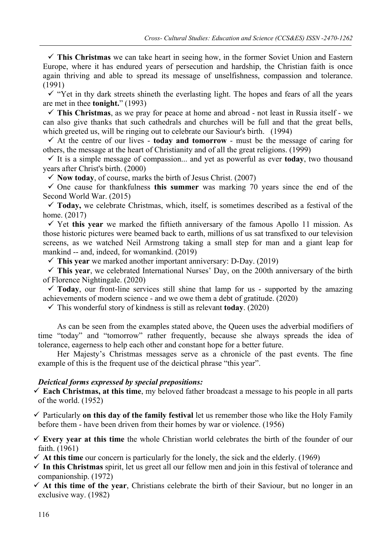$\checkmark$  This Christmas we can take heart in seeing how, in the former Soviet Union and Eastern Europe, where it has endured years of persecution and hardship, the Christian faith is once again thriving and able to spread its message of unselfishness, compassion and tolerance. (1991)

 $\checkmark$  "Yet in thy dark streets shineth the everlasting light. The hopes and fears of all the years are met in thee **tonight.**" (1993)

 **This Christmas**, as we pray for peace at home and abroad - not least in Russia itself - we can also give thanks that such cathedrals and churches will be full and that the great bells, which greeted us, will be ringing out to celebrate our Saviour's birth. (1994)

 $\checkmark$  At the centre of our lives - **today and tomorrow** - must be the message of caring for others, the message at the heart of Christianity and of all the great religions. (1999)

 $\checkmark$  It is a simple message of compassion... and yet as powerful as ever **today**, two thousand years after Christ's birth. (2000)

 $\checkmark$  Now today, of course, marks the birth of Jesus Christ. (2007)

 $\checkmark$  One cause for thankfulness this summer was marking 70 years since the end of the Second World War. (2015)

 **Today,** we celebrate Christmas, which, itself, is sometimes described as a festival of the home. (2017)

 $\checkmark$  Yet this year we marked the fiftieth anniversary of the famous Apollo 11 mission. As those historic pictures were beamed back to earth, millions of us sat transfixed to our television screens, as we watched Neil Armstrong taking a small step for man and a giant leap for mankind -- and, indeed, for womankind. (2019)

**This year** we marked another important anniversary: D-Day. (2019)

 **This year**, we celebrated International Nurses' Day, on the 200th anniversary of the birth of Florence Nightingale. (2020)

 $\checkmark$  Today, our front-line services still shine that lamp for us - supported by the amazing achievements of modern science - and we owe them a debt of gratitude. (2020)

 $\checkmark$  This wonderful story of kindness is still as relevant **today**. (2020)

As can be seen from the examples stated above, the Queen uses the adverbial modifiers of time "today" and "tomorrow" rather frequently, because she always spreads the idea of tolerance, eagerness to help each other and constant hope for a better future.

Her Majesty's Christmas messages serve as a chronicle of the past events. The fine example of this is the frequent use of the deictical phrase "this year".

## *Deictical forms expressed by special prepositions:*

 **Each Christmas, at this time**, my beloved father broadcast a message to his people in all parts of the world. (1952)

 Particularly **on this day of the family festival** let us remember those who like the Holy Family before them - have been driven from their homes by war or violence. (1956)

 **Every year at this time** the whole Christian world celebrates the birth of the founder of our faith. (1961)

 $\checkmark$  At this time our concern is particularly for the lonely, the sick and the elderly. (1969)

 $\checkmark$  In this Christmas spirit, let us greet all our fellow men and join in this festival of tolerance and companionship. (1972)

 $\checkmark$  At this time of the year, Christians celebrate the birth of their Saviour, but no longer in an exclusive way. (1982)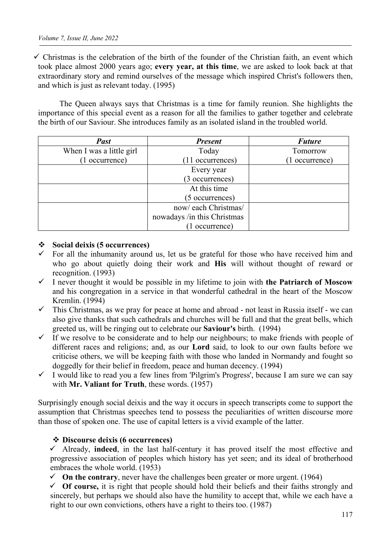$\checkmark$  Christmas is the celebration of the birth of the founder of the Christian faith, an event which took place almost 2000 years ago; **every year, at this time**, we are asked to look back at that extraordinary story and remind ourselves of the message which inspired Christ's followers then, and which is just as relevant today. (1995)

The Queen always says that Christmas is a time for family reunion. She highlights the importance of this special event as a reason for all the families to gather together and celebrate the birth of our Saviour. She introduces family as an isolated island in the troubled world.

| <b>Past</b>              | <b>Present</b>              | <b>Future</b> |
|--------------------------|-----------------------------|---------------|
| When I was a little girl | Today                       | Tomorrow      |
| 1 occurrence)            | (11 occurrences)            | 1 occurrence) |
|                          | Every year                  |               |
|                          | (3 occurrences)             |               |
|                          | At this time                |               |
|                          | (5 occurrences)             |               |
|                          | now/each Christmas/         |               |
|                          | nowadays /in this Christmas |               |
|                          | (1 occurrence)              |               |

## **Social deixis (5 occurrences)**

- $\checkmark$  For all the inhumanity around us, let us be grateful for those who have received him and who go about quietly doing their work and **His** will without thought of reward or recognition. (1993)
- I never thought it would be possible in my lifetime to join with **the Patriarch of Moscow** and his congregation in a service in that wonderful cathedral in the heart of the Moscow Kremlin. (1994)
- $\checkmark$  This Christmas, as we pray for peace at home and abroad not least in Russia itself we can also give thanks that such cathedrals and churches will be full and that the great bells, which greeted us, will be ringing out to celebrate our **Saviour's** birth. (1994)
- $\checkmark$  If we resolve to be considerate and to help our neighbours; to make friends with people of different races and religions; and, as our **Lord** said, to look to our own faults before we criticise others, we will be keeping faith with those who landed in Normandy and fought so doggedly for their belief in freedom, peace and human decency. (1994)
- I would like to read you a few lines from 'Pilgrim's Progress', because I am sure we can say with **Mr. Valiant for Truth**, these words. (1957)

Surprisingly enough social deixis and the way it occurs in speech transcripts come to support the assumption that Christmas speeches tend to possess the peculiarities of written discourse more than those of spoken one. The use of capital letters is a vivid example of the latter.

#### **Discourse deixis (6 occurrences)**

 Already, **indeed**, in the last half-century it has proved itself the most effective and progressive association of peoples which history has yet seen; and its ideal of brotherhood embraces the whole world. (1953)

 $\checkmark$  On the contrary, never have the challenges been greater or more urgent. (1964)

 $\checkmark$  Of course, it is right that people should hold their beliefs and their faiths strongly and sincerely, but perhaps we should also have the humility to accept that, while we each have a right to our own convictions, others have a right to theirs too. (1987)